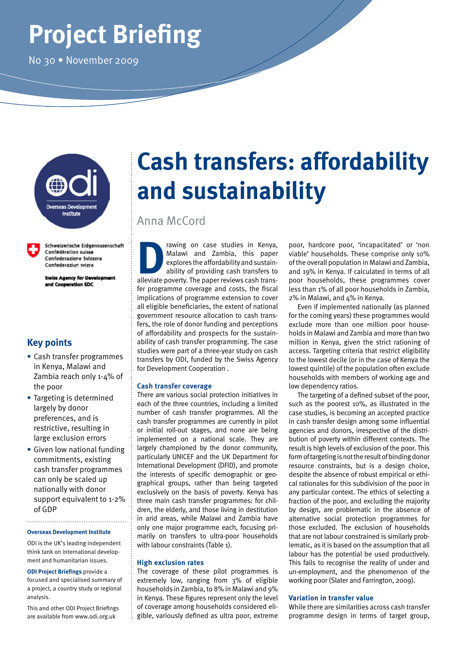# **Project Briefing**

No 30 • November 2009



Schweizerische Eidgenossenschaft Confédération suisse Confederazione Svizzera Confederaziun svizra

**Swiss Agency for Development** and Cooperation SDC

## **Key points**

- **•** Cash transfer programmes in Kenya, Malawi and Zambia reach only 1-4% of the poor
- **•** Targeting is determined largely by donor preferences, and is restrictive, resulting in large exclusion errors
- **•** Given low national funding commitments, existing cash transfer programmes can only be scaled up nationally with donor support equivalent to 1-2% of GDP

#### **Overseas Development Institute**

ODI is the UK's leading independent think tank on international development and humanitarian issues.

**ODI Project Briefings** provide a focused and specialised summary of a project, a country study or regional analysis.

This and other ODI Project Briefings are available from www.odi.org.uk

# **Cash transfers: affordability and sustainability**

## Anna McCord

The rawing on case studies in Kenya, Malawi and Zambia, this paper explores the affordability and sustainability of providing cash transfers to alleviate poverty. The paper reviews cash trans-Malawi and Zambia, this paper explores the affordability and sustainability of providing cash transfers to fer programme coverage and costs, the fiscal implications of programme extension to cover all eligible beneficiaries, the extent of national government resource allocation to cash transfers, the role of donor funding and perceptions of affordability and prospects for the sustainability of cash transfer programming. The case studies were part of a three-year study on cash transfers by ODI, funded by the Swiss Agency for Development Cooperation .

#### **Cash transfer coverage**

There are various social protection initiatives in each of the three countries, including a limited number of cash transfer programmes. All the cash transfer programmes are currently in pilot or initial roll-out stages, and none are being implemented on a national scale. They are largely championed by the donor community, particularly UNICEF and the UK Department for International Development (DFID), and promote the interests of specific demographic or geographical groups, rather than being targeted exclusively on the basis of poverty. Kenya has three main cash transfer programmes: for children, the elderly, and those living in destitution in arid areas, while Malawi and Zambia have only one major programme each, focusing primarily on transfers to ultra-poor households with labour constraints (Table 1).

#### **High exclusion rates**

The coverage of these pilot programmes is extremely low, ranging from 3% of eligible households in Zambia, to 8% in Malawi and 9% in Kenya. These figures represent only the level of coverage among households considered eligible, variously defined as ultra poor, extreme

poor, hardcore poor, 'incapacitated' or 'non viable' households. These comprise only 10% of the overall population in Malawi and Zambia, and 19% in Kenya. If calculated in terms of all poor households, these programmes cover less than 1% of all poor households in Zambia, 2% in Malawi, and 4% in Kenya.

Even if implemented nationally (as planned for the coming years) these programmes would exclude more than one million poor households in Malawi and Zambia and more than two million in Kenya, given the strict rationing of access. Targeting criteria that restrict eligibility to the lowest decile (or in the case of Kenya the lowest quintile) of the population often exclude households with members of working age and low dependency ratios.

The targeting of a defined subset of the poor, such as the poorest 10%, as illustrated in the case studies, is becoming an accepted practice in cash transfer design among some influential agencies and donors, irrespective of the distribution of poverty within different contexts. The result is high levels of exclusion of the poor. This form of targeting is not the result of binding donor resource constraints, but is a design choice, despite the absence of robust empirical or ethical rationales for this subdivision of the poor in any particular context. The ethics of selecting a fraction of the poor, and excluding the majority by design, are problematic in the absence of alternative social protection programmes for those excluded. The exclusion of households that are not labour constrained is similarly problematic, as it is based on the assumption that all labour has the potential be used productively. This fails to recognise the reality of under and un-employment, and the phenomenon of the working poor (Slater and Farrington, 2009).

#### **Variation in transfer value**

While there are similarities across cash transfer programme design in terms of target group,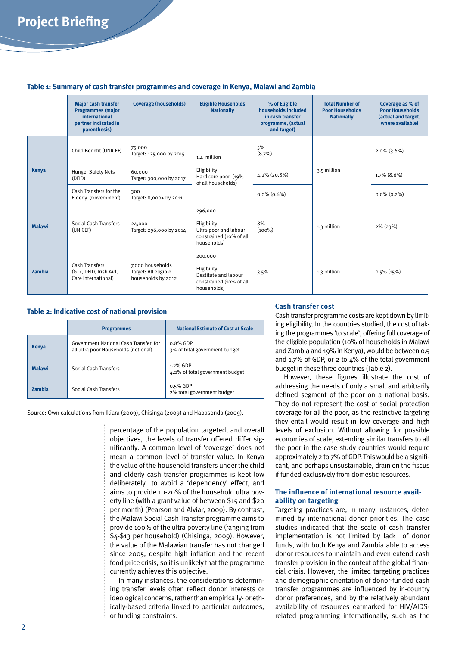#### **Table 1: Summary of cash transfer programmes and coverage in Kenya, Malawi and Zambia**

|               | <b>Major cash transfer</b><br><b>Programmes (major</b><br>international<br>partner indicated in<br>parenthesis) | <b>Coverage (households)</b>                                   | <b>Eligible Households</b><br><b>Nationally</b>                                            | % of Eligible<br>households included<br>in cash transfer<br>programme, (actual<br>and target) | <b>Total Number of</b><br><b>Poor Households</b><br><b>Nationally</b> | Coverage as % of<br><b>Poor Households</b><br>(actual and target,<br>where available) |
|---------------|-----------------------------------------------------------------------------------------------------------------|----------------------------------------------------------------|--------------------------------------------------------------------------------------------|-----------------------------------------------------------------------------------------------|-----------------------------------------------------------------------|---------------------------------------------------------------------------------------|
|               | Child Benefit (UNICEF)                                                                                          | 75,000<br>Target: 125,000 by 2015                              | 1.4 million<br>Eligibility:<br>Hard core poor (19%<br>of all households)                   | 5%<br>(8.7%)                                                                                  | 3.5 million                                                           | $2.0\%$ (3.6%)                                                                        |
| Kenya         | <b>Hunger Safety Nets</b><br>(DFID)                                                                             | 60,000<br>Target: 300,000 by 2017                              |                                                                                            | 4.2% (20.8%)                                                                                  |                                                                       | $1.7\%$ (8.6%)                                                                        |
|               | Cash Transfers for the<br>Elderly (Government)                                                                  | 300<br>Target: 8,000+ by 2011                                  |                                                                                            | $0.0\%$ $(0.6\%)$                                                                             |                                                                       | $0.0\%$ $(0.2\%)$                                                                     |
| <b>Malawi</b> | Social Cash Transfers<br>(UNICEF)                                                                               | 24,000<br>Target: 296,000 by 2014                              | 296,000<br>Eligibility:<br>Ultra-poor and labour<br>constrained (10% of all<br>households) | 8%<br>$(100\%)$                                                                               | 1.3 million                                                           | $2\%$ (23%)                                                                           |
| Zambia        | <b>Cash Transfers</b><br>(GTZ, DFID, Irish Aid,<br>Care International)                                          | 7,000 households<br>Target: All eligible<br>households by 2012 | 200,000<br>Eligibility:<br>Destitute and labour<br>constrained (10% of all<br>households)  | 3.5%                                                                                          | 1.3 million                                                           | $0.5\%$ (15%)                                                                         |

#### **Table 2: Indicative cost of national provision**

|               | <b>Programmes</b>                                                             | <b>National Estimate of Cost at Scale</b>    |
|---------------|-------------------------------------------------------------------------------|----------------------------------------------|
| Kenya         | Government National Cash Transfer for<br>all ultra poor Households (notional) | $0.8\%$ GDP<br>3% of total government budget |
| <b>Malawi</b> | Social Cash Transfers                                                         | 1.7% GDP<br>4.2% of total government budget  |
| <b>Zambia</b> | Social Cash Transfers                                                         | $0.5\%$ GDP<br>2% total government budget    |

Source: Own calculations from Ikiara (2009), Chisinga (2009) and Habasonda (2009).

percentage of the population targeted, and overall objectives, the levels of transfer offered differ significantly. A common level of 'coverage' does not mean a common level of transfer value. In Kenya the value of the household transfers under the child and elderly cash transfer programmes is kept low deliberately to avoid a 'dependency' effect, and aims to provide 10-20% of the household ultra poverty line (with a grant value of between \$15 and \$20 per month) (Pearson and Alviar, 2009). By contrast, the Malawi Social Cash Transfer programme aims to provide 100% of the ultra poverty line (ranging from \$4-\$13 per household) (Chisinga, 2009). However, the value of the Malawian transfer has not changed since 2005, despite high inflation and the recent food price crisis, so it is unlikely that the programme currently achieves this objective.

In many instances, the considerations determining transfer levels often reflect donor interests or ideological concerns, rather than empirically- or ethically-based criteria linked to particular outcomes, or funding constraints.

#### **Cash transfer cost**

Cash transfer programme costs are kept down by limiting eligibility. In the countries studied, the cost of taking the programmes 'to scale', offering full coverage of the eligible population (10% of households in Malawi and Zambia and 19% in Kenya), would be between 0.5 and 1.7% of GDP, or 2 to  $4\%$  of the total government budget in these three countries (Table 2).

However, these figures illustrate the cost of addressing the needs of only a small and arbitrarily defined segment of the poor on a national basis. They do not represent the cost of social protection coverage for all the poor, as the restrictive targeting they entail would result in low coverage and high levels of exclusion. Without allowing for possible economies of scale, extending similar transfers to all the poor in the case study countries would require approximately 2 to 7% of GDP. This would be a significant, and perhaps unsustainable, drain on the fiscus if funded exclusively from domestic resources.

#### **The influence of international resource availability on targeting**

Targeting practices are, in many instances, determined by international donor priorities. The case studies indicated that the scale of cash transfer implementation is not limited by lack of donor funds, with both Kenya and Zambia able to access donor resources to maintain and even extend cash transfer provision in the context of the global financial crisis. However, the limited targeting practices and demographic orientation of donor-funded cash transfer programmes are influenced by in-country donor preferences, and by the relatively abundant availability of resources earmarked for HIV/AIDSrelated programming internationally, such as the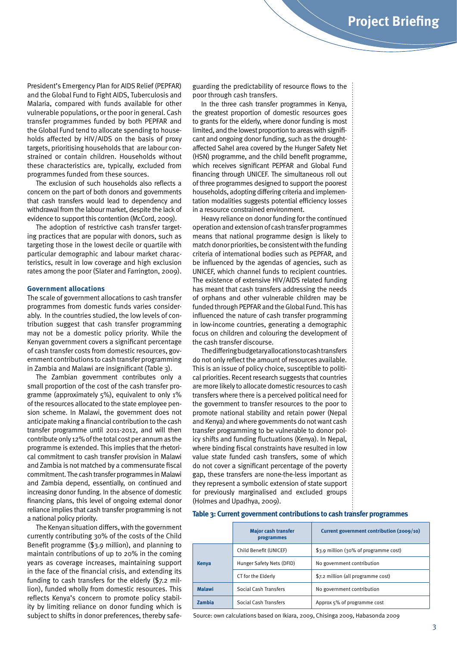President's Emergency Plan for AIDS Relief (PEPFAR) and the Global Fund to Fight AIDS, Tuberculosis and Malaria, compared with funds available for other vulnerable populations, or the poor in general. Cash transfer programmes funded by both PEPFAR and the Global Fund tend to allocate spending to households affected by HIV/AIDS on the basis of proxy targets, prioritising households that are labour constrained or contain children. Households without these characteristics are, typically, excluded from programmes funded from these sources.

The exclusion of such households also reflects a concern on the part of both donors and governments that cash transfers would lead to dependency and withdrawal from the labour market, despite the lack of evidence to support this contention (McCord, 2009).

The adoption of restrictive cash transfer targeting practices that are popular with donors, such as targeting those in the lowest decile or quartile with particular demographic and labour market characteristics, result in low coverage and high exclusion rates among the poor (Slater and Farrington, 2009).

#### **Government allocations**

The scale of government allocations to cash transfer programmes from domestic funds varies considerably. In the countries studied, the low levels of contribution suggest that cash transfer programming may not be a domestic policy priority. While the Kenyan government covers a significant percentage of cash transfer costs from domestic resources, government contributions to cash transfer programming in Zambia and Malawi are insignificant (Table 3).

The Zambian government contributes only a small proportion of the cost of the cash transfer programme (approximately 5%), equivalent to only 1% of the resources allocated to the state employee pension scheme. In Malawi, the government does not anticipate making a financial contribution to the cash transfer programme until 2011-2012, and will then contribute only 12% of the total cost per annum as the programme is extended. This implies that the rhetorical commitment to cash transfer provision in Malawi and Zambia is not matched by a commensurate fiscal commitment. The cash transfer programmes in Malawi and Zambia depend, essentially, on continued and increasing donor funding. In the absence of domestic financing plans, this level of ongoing external donor reliance implies that cash transfer programming is not a national policy priority.

The Kenyan situation differs, with the government currently contributing 30% of the costs of the Child Benefit programme (\$3.9 million), and planning to maintain contributions of up to 20% in the coming years as coverage increases, maintaining support in the face of the financial crisis, and extending its funding to cash transfers for the elderly (\$7.2 million), funded wholly from domestic resources. This reflects Kenya's concern to promote policy stability by limiting reliance on donor funding which is subject to shifts in donor preferences, thereby safeguarding the predictability of resource flows to the poor through cash transfers.

In the three cash transfer programmes in Kenya, the greatest proportion of domestic resources goes to grants for the elderly, where donor funding is most limited, and the lowest proportion to areas with significant and ongoing donor funding, such as the droughtaffected Sahel area covered by the Hunger Safety Net (HSN) programme, and the child benefit programme, which receives significant PEPFAR and Global Fund financing through UNICEF. The simultaneous roll out of three programmes designed to support the poorest households, adopting differing criteria and implementation modalities suggests potential efficiency losses in a resource constrained environment.

Heavy reliance on donor funding for the continued operation and extension of cash transfer programmes means that national programme design is likely to match donor priorities, be consistent with the funding criteria of international bodies such as PEPFAR, and be influenced by the agendas of agencies, such as UNICEF, which channel funds to recipient countries. The existence of extensive HIV/AIDS related funding has meant that cash transfers addressing the needs of orphans and other vulnerable children may be funded through PEPFAR and the Global Fund. This has influenced the nature of cash transfer programming in low-income countries, generating a demographic focus on children and colouring the development of the cash transfer discourse.

The differing budgetary allocations to cash transfers do not only reflect the amount of resources available. This is an issue of policy choice, susceptible to political priorities. Recent research suggests that countries are more likely to allocate domestic resources to cash transfers where there is a perceived political need for the government to transfer resources to the poor to promote national stability and retain power (Nepal and Kenya) and where governments do not want cash transfer programming to be vulnerable to donor policy shifts and funding fluctuations (Kenya). In Nepal, where binding fiscal constraints have resulted in low value state funded cash transfers, some of which do not cover a significant percentage of the poverty gap, these transfers are none-the-less important as they represent a symbolic extension of state support for previously marginalised and excluded groups (Holmes and Upadhya, 2009).

#### **Table 3: Current government contributions to cash transfer programmes**

|               | <b>Major cash transfer</b><br>programmes | Current government contribution (2009/10) |  |
|---------------|------------------------------------------|-------------------------------------------|--|
|               | Child Benefit (UNICEF)                   | \$3.9 million (30% of programme cost)     |  |
| <b>Kenya</b>  | Hunger Safety Nets (DFID)                | No government contribution                |  |
|               | CT for the Elderly                       | \$7.2 million (all programme cost)        |  |
| <b>Malawi</b> | Social Cash Transfers                    | No government contribution                |  |
| <b>Zambia</b> | Social Cash Transfers                    | Approx 5% of programme cost               |  |

Source: own calculations based on Ikiara, 2009, Chisinga 2009, Habasonda 2009